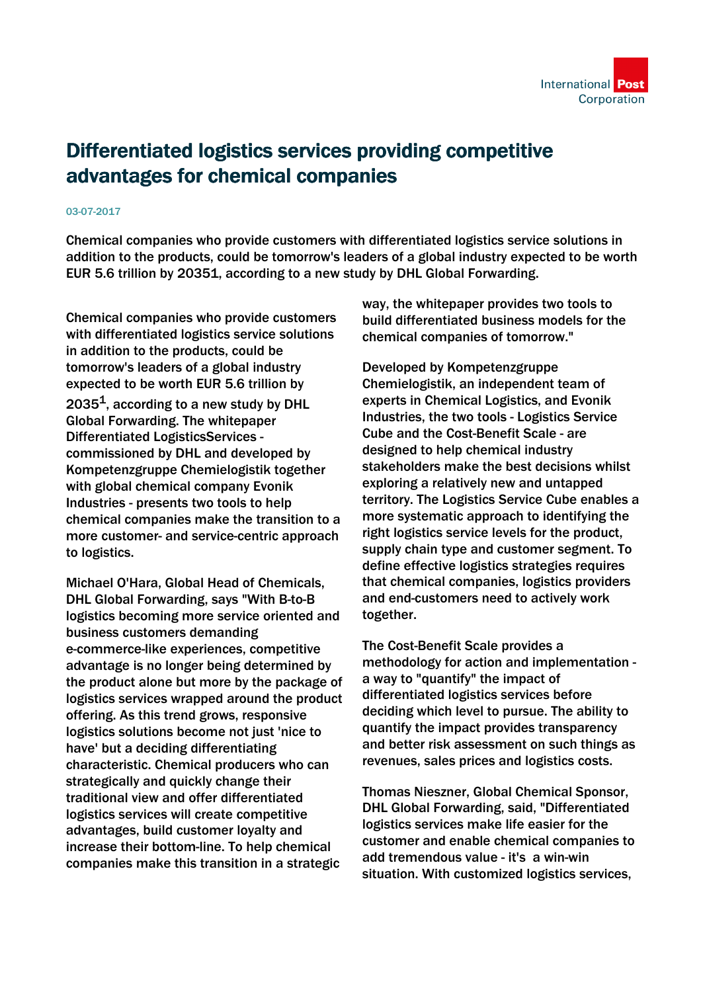## Differentiated logistics services providing competitive advantages for chemical companies

## 03-07-2017

Chemical companies who provide customers with differentiated logistics service solutions in addition to the products, could be tomorrow's leaders of a global industry expected to be worth EUR 5.6 trillion by 20351, according to a new study by DHL Global Forwarding.

Chemical companies who provide customers with differentiated logistics service solutions in addition to the products, could be tomorrow's leaders of a global industry expected to be worth EUR 5.6 trillion by  $2035<sup>1</sup>$ , according to a new study by DHL Global Forwarding. The whitepaper Differentiated LogisticsServices commissioned by DHL and developed by Kompetenzgruppe Chemielogistik together with global chemical company Evonik Industries - presents two tools to help chemical companies make the transition to a more customer- and service-centric approach to logistics.

Michael O'Hara, Global Head of Chemicals, DHL Global Forwarding, says "With B-to-B logistics becoming more service oriented and business customers demanding e-commerce-like experiences, competitive advantage is no longer being determined by the product alone but more by the package of logistics services wrapped around the product offering. As this trend grows, responsive logistics solutions become not just 'nice to have' but a deciding differentiating characteristic. Chemical producers who can strategically and quickly change their traditional view and offer differentiated logistics services will create competitive advantages, build customer loyalty and increase their bottom-line. To help chemical companies make this transition in a strategic

way, the whitepaper provides two tools to build differentiated business models for the chemical companies of tomorrow."

Developed by Kompetenzgruppe Chemielogistik, an independent team of experts in Chemical Logistics, and Evonik Industries, the two tools - Logistics Service Cube and the Cost-Benefit Scale - are designed to help chemical industry stakeholders make the best decisions whilst exploring a relatively new and untapped territory. The Logistics Service Cube enables a more systematic approach to identifying the right logistics service levels for the product, supply chain type and customer segment. To define effective logistics strategies requires that chemical companies, logistics providers and end-customers need to actively work together.

The Cost-Benefit Scale provides a methodology for action and implementation a way to "quantify" the impact of differentiated logistics services before deciding which level to pursue. The ability to quantify the impact provides transparency and better risk assessment on such things as revenues, sales prices and logistics costs.

Thomas Nieszner, Global Chemical Sponsor, DHL Global Forwarding, said, "Differentiated logistics services make life easier for the customer and enable chemical companies to add tremendous value - it's a win-win situation. With customized logistics services,